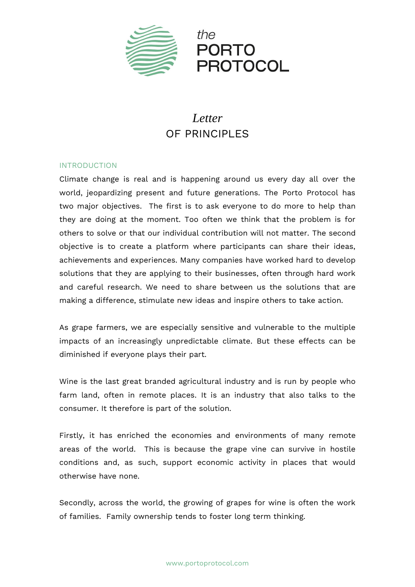

### *Letter* OF PRINCIPI FS

#### INTRODUCTION

Climate change is real and is happening around us every day all over the world, jeopardizing present and future generations. The Porto Protocol has two major objectives. The first is to ask everyone to do more to help than they are doing at the moment. Too often we think that the problem is for others to solve or that our individual contribution will not matter. The second objective is to create a platform where participants can share their ideas, achievements and experiences. Many companies have worked hard to develop solutions that they are applying to their businesses, often through hard work and careful research. We need to share between us the solutions that are making a difference, stimulate new ideas and inspire others to take action.

As grape farmers, we are especially sensitive and vulnerable to the multiple impacts of an increasingly unpredictable climate. But these effects can be diminished if everyone plays their part.

Wine is the last great branded agricultural industry and is run by people who farm land, often in remote places. It is an industry that also talks to the consumer. It therefore is part of the solution.

Firstly, it has enriched the economies and environments of many remote areas of the world. This is because the grape vine can survive in hostile conditions and, as such, support economic activity in places that would otherwise have none.

Secondly, across the world, the growing of grapes for wine is often the work of families. Family ownership tends to foster long term thinking.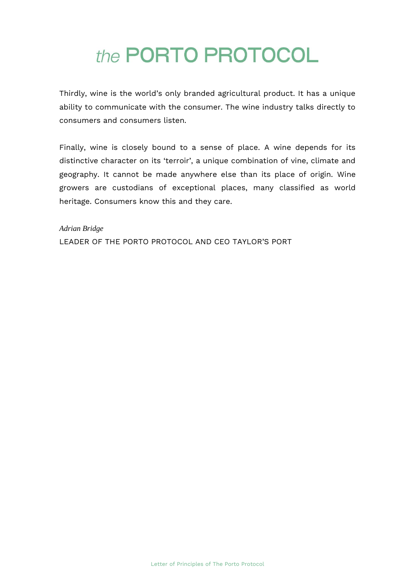## the PORTO PROTOCOL

Thirdly, wine is the world's only branded agricultural product. It has a unique ability to communicate with the consumer. The wine industry talks directly to consumers and consumers listen.

Finally, wine is closely bound to a sense of place. A wine depends for its distinctive character on its 'terroir', a unique combination of vine, climate and geography. It cannot be made anywhere else than its place of origin. Wine growers are custodians of exceptional places, many classified as world heritage. Consumers know this and they care.

*Adrian Bridge* LEADER OF THE PORTO PROTOCOL AND CEO TAYLOR'S PORT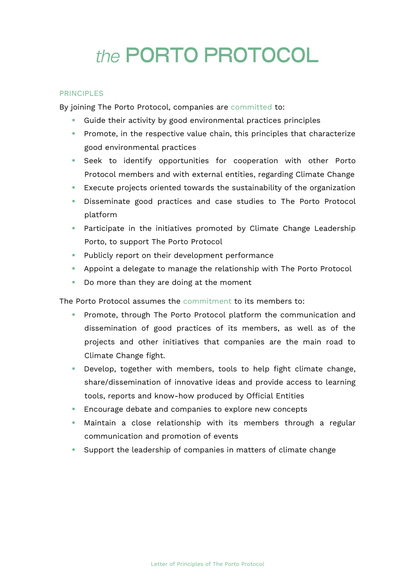# the PORTO PROTOCOL

#### PRINCIPLES

By joining The Porto Protocol, companies are committed to:

- Guide their activity by good environmental practices principles
- **•** Promote, in the respective value chain, this principles that characterize good environmental practices
- **EXECO** Seek to identify opportunities for cooperation with other Porto Protocol members and with external entities, regarding Climate Change
- Execute projects oriented towards the sustainability of the organization
- **EXEC** Disseminate good practices and case studies to The Porto Protocol platform
- **•** Participate in the initiatives promoted by Climate Change Leadership Porto, to support The Porto Protocol
- Publicly report on their development performance
- Appoint a delegate to manage the relationship with The Porto Protocol
- Do more than they are doing at the moment

The Porto Protocol assumes the commitment to its members to:

- Promote, through The Porto Protocol platform the communication and dissemination of good practices of its members, as well as of the projects and other initiatives that companies are the main road to Climate Change fight.
- Develop, together with members, tools to help fight climate change, share/dissemination of innovative ideas and provide access to learning tools, reports and know-how produced by Official Entities
- Encourage debate and companies to explore new concepts
- **■** Maintain a close relationship with its members through a regular communication and promotion of events
- Support the leadership of companies in matters of climate change